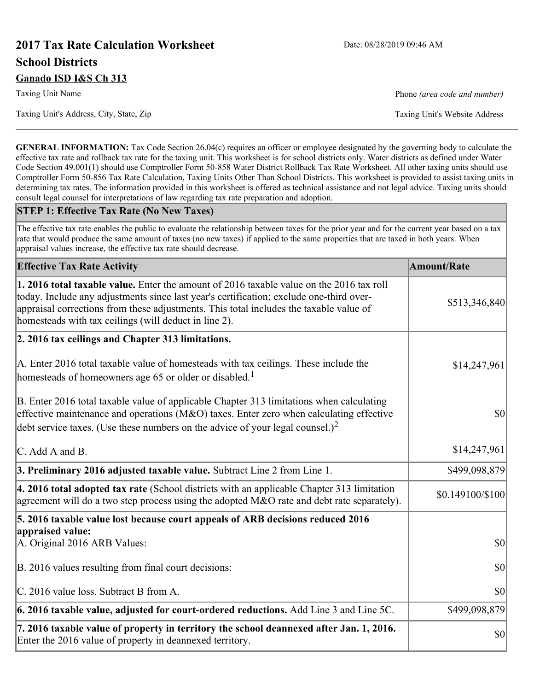# **2017 Tax Rate Calculation Worksheet** Date: 08/28/2019 09:46 AM **School Districts Ganado ISD I&S Ch 313**

Taxing Unit's Address, City, State, Zip Taxing Unit's Website Address

Taxing Unit Name **Phone** *(area code and number)* Phone *(area code and number)* 

**GENERAL INFORMATION:** Tax Code Section 26.04(c) requires an officer or employee designated by the governing body to calculate the effective tax rate and rollback tax rate for the taxing unit. This worksheet is for school districts only. Water districts as defined under Water Code Section 49.001(1) should use Comptroller Form 50-858 Water District Rollback Tax Rate Worksheet. All other taxing units should use Comptroller Form 50-856 Tax Rate Calculation, Taxing Units Other Than School Districts. This worksheet is provided to assist taxing units in determining tax rates. The information provided in this worksheet is offered as technical assistance and not legal advice. Taxing units should consult legal counsel for interpretations of law regarding tax rate preparation and adoption.

#### **STEP 1: Effective Tax Rate (No New Taxes)**

The effective tax rate enables the public to evaluate the relationship between taxes for the prior year and for the current year based on a tax rate that would produce the same amount of taxes (no new taxes) if applied to the same properties that are taxed in both years. When appraisal values increase, the effective tax rate should decrease.

| <b>Effective Tax Rate Activity</b>                                                                                                                                                                                                                                                                                                     | <b>Amount/Rate</b> |
|----------------------------------------------------------------------------------------------------------------------------------------------------------------------------------------------------------------------------------------------------------------------------------------------------------------------------------------|--------------------|
| 1. 2016 total taxable value. Enter the amount of 2016 taxable value on the 2016 tax roll<br>today. Include any adjustments since last year's certification; exclude one-third over-<br>appraisal corrections from these adjustments. This total includes the taxable value of<br>homesteads with tax ceilings (will deduct in line 2). | \$513,346,840      |
| 2. 2016 tax ceilings and Chapter 313 limitations.                                                                                                                                                                                                                                                                                      |                    |
| A. Enter 2016 total taxable value of homesteads with tax ceilings. These include the<br>homesteads of homeowners age 65 or older or disabled. <sup>1</sup>                                                                                                                                                                             | \$14,247,961       |
| B. Enter 2016 total taxable value of applicable Chapter 313 limitations when calculating<br>effective maintenance and operations ( $M&O$ ) taxes. Enter zero when calculating effective<br>debt service taxes. (Use these numbers on the advice of your legal counsel.) <sup>2</sup>                                                   | $ S_0 $            |
| $\mathcal{C}$ . Add A and B.                                                                                                                                                                                                                                                                                                           | \$14,247,961       |
| 3. Preliminary 2016 adjusted taxable value. Subtract Line 2 from Line 1.                                                                                                                                                                                                                                                               | \$499,098,879      |
| 4. 2016 total adopted tax rate (School districts with an applicable Chapter 313 limitation<br>agreement will do a two step process using the adopted M&O rate and debt rate separately).                                                                                                                                               | \$0.149100/\$100   |
| 5. 2016 taxable value lost because court appeals of ARB decisions reduced 2016                                                                                                                                                                                                                                                         |                    |
| appraised value:<br>A. Original 2016 ARB Values:                                                                                                                                                                                                                                                                                       | $ 10\rangle$       |
| B. 2016 values resulting from final court decisions:                                                                                                                                                                                                                                                                                   | \$0                |
| C. 2016 value loss. Subtract B from A.                                                                                                                                                                                                                                                                                                 | \$0                |
| $\vert$ 6. 2016 taxable value, adjusted for court-ordered reductions. Add Line 3 and Line 5C.                                                                                                                                                                                                                                          | \$499,098,879      |
| 7. 2016 taxable value of property in territory the school deannexed after Jan. 1, 2016.<br>Enter the 2016 value of property in deannexed territory.                                                                                                                                                                                    | \$0                |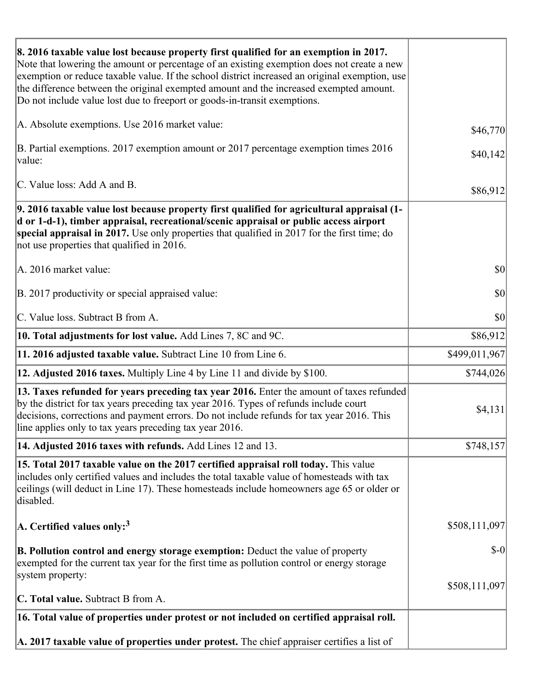| 8. 2016 taxable value lost because property first qualified for an exemption in 2017.<br>Note that lowering the amount or percentage of an existing exemption does not create a new<br>exemption or reduce taxable value. If the school district increased an original exemption, use<br>the difference between the original exempted amount and the increased exempted amount.<br>Do not include value lost due to freeport or goods-in-transit exemptions. |                                     |
|--------------------------------------------------------------------------------------------------------------------------------------------------------------------------------------------------------------------------------------------------------------------------------------------------------------------------------------------------------------------------------------------------------------------------------------------------------------|-------------------------------------|
| A. Absolute exemptions. Use 2016 market value:                                                                                                                                                                                                                                                                                                                                                                                                               | \$46,770                            |
| B. Partial exemptions. 2017 exemption amount or 2017 percentage exemption times 2016<br>value:                                                                                                                                                                                                                                                                                                                                                               | \$40,142                            |
| C. Value loss: Add A and B.                                                                                                                                                                                                                                                                                                                                                                                                                                  | \$86,912                            |
| 9. 2016 taxable value lost because property first qualified for agricultural appraisal (1-<br>d or 1-d-1), timber appraisal, recreational/scenic appraisal or public access airport<br>special appraisal in 2017. Use only properties that qualified in 2017 for the first time; do<br>not use properties that qualified in 2016.                                                                                                                            |                                     |
| A. 2016 market value:                                                                                                                                                                                                                                                                                                                                                                                                                                        | $ 10\rangle$                        |
| B. 2017 productivity or special appraised value:                                                                                                                                                                                                                                                                                                                                                                                                             | \$0                                 |
| C. Value loss. Subtract B from A.                                                                                                                                                                                                                                                                                                                                                                                                                            | $\vert \mathbf{S} \mathbf{O} \vert$ |
| <b>10. Total adjustments for lost value.</b> Add Lines 7, 8C and 9C.                                                                                                                                                                                                                                                                                                                                                                                         | \$86,912                            |
| 11. 2016 adjusted taxable value. Subtract Line 10 from Line 6.                                                                                                                                                                                                                                                                                                                                                                                               | \$499,011,967                       |
| <b>12. Adjusted 2016 taxes.</b> Multiply Line 4 by Line 11 and divide by \$100.                                                                                                                                                                                                                                                                                                                                                                              | \$744,026                           |
| [13. Taxes refunded for years preceding tax year 2016. Enter the amount of taxes refunded<br>by the district for tax years preceding tax year 2016. Types of refunds include court<br>decisions, corrections and payment errors. Do not include refunds for tax year 2016. This<br>line applies only to tax years preceding tax year 2016.                                                                                                                   | \$4,131                             |
| 14. Adjusted 2016 taxes with refunds. Add Lines 12 and 13.                                                                                                                                                                                                                                                                                                                                                                                                   | \$748,157                           |
| 15. Total 2017 taxable value on the 2017 certified appraisal roll today. This value<br>includes only certified values and includes the total taxable value of homesteads with tax<br>ceilings (will deduct in Line 17). These homesteads include homeowners age 65 or older or<br>disabled.                                                                                                                                                                  |                                     |
| A. Certified values only: <sup>3</sup>                                                                                                                                                                                                                                                                                                                                                                                                                       | \$508,111,097                       |
| <b>B. Pollution control and energy storage exemption:</b> Deduct the value of property<br>exempted for the current tax year for the first time as pollution control or energy storage<br>system property:                                                                                                                                                                                                                                                    | $\delta$ -0                         |
| <b>C. Total value.</b> Subtract B from A.                                                                                                                                                                                                                                                                                                                                                                                                                    | \$508,111,097                       |
|                                                                                                                                                                                                                                                                                                                                                                                                                                                              |                                     |
| 16. Total value of properties under protest or not included on certified appraisal roll.                                                                                                                                                                                                                                                                                                                                                                     |                                     |
| A. 2017 taxable value of properties under protest. The chief appraiser certifies a list of                                                                                                                                                                                                                                                                                                                                                                   |                                     |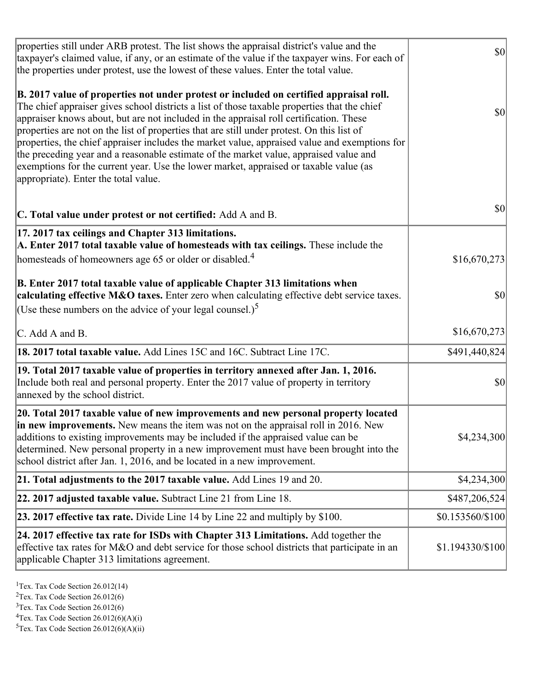| properties still under ARB protest. The list shows the appraisal district's value and the<br>taxpayer's claimed value, if any, or an estimate of the value if the taxpayer wins. For each of<br>the properties under protest, use the lowest of these values. Enter the total value.                                                                                                                                                                                                                                                                                                                                                                                                                      | $ 10\rangle$     |
|-----------------------------------------------------------------------------------------------------------------------------------------------------------------------------------------------------------------------------------------------------------------------------------------------------------------------------------------------------------------------------------------------------------------------------------------------------------------------------------------------------------------------------------------------------------------------------------------------------------------------------------------------------------------------------------------------------------|------------------|
| B. 2017 value of properties not under protest or included on certified appraisal roll.<br>The chief appraiser gives school districts a list of those taxable properties that the chief<br>appraiser knows about, but are not included in the appraisal roll certification. These<br>properties are not on the list of properties that are still under protest. On this list of<br>properties, the chief appraiser includes the market value, appraised value and exemptions for<br>the preceding year and a reasonable estimate of the market value, appraised value and<br>exemptions for the current year. Use the lower market, appraised or taxable value (as<br>appropriate). Enter the total value. | <b>\$0</b>       |
| C. Total value under protest or not certified: Add A and B.                                                                                                                                                                                                                                                                                                                                                                                                                                                                                                                                                                                                                                               | \$0              |
| 17. 2017 tax ceilings and Chapter 313 limitations.<br>A. Enter 2017 total taxable value of homesteads with tax ceilings. These include the<br>homesteads of homeowners age 65 or older or disabled. <sup>4</sup>                                                                                                                                                                                                                                                                                                                                                                                                                                                                                          | \$16,670,273     |
| B. Enter 2017 total taxable value of applicable Chapter 313 limitations when<br>calculating effective M&O taxes. Enter zero when calculating effective debt service taxes.<br>(Use these numbers on the advice of your legal counsel.) <sup>5</sup>                                                                                                                                                                                                                                                                                                                                                                                                                                                       | \$0              |
| C. Add A and B.                                                                                                                                                                                                                                                                                                                                                                                                                                                                                                                                                                                                                                                                                           | \$16,670,273     |
| 18. 2017 total taxable value. Add Lines 15C and 16C. Subtract Line 17C.                                                                                                                                                                                                                                                                                                                                                                                                                                                                                                                                                                                                                                   | \$491,440,824    |
| 19. Total 2017 taxable value of properties in territory annexed after Jan. 1, 2016.<br>Include both real and personal property. Enter the 2017 value of property in territory<br>annexed by the school district.                                                                                                                                                                                                                                                                                                                                                                                                                                                                                          | \$0              |
| 20. Total 2017 taxable value of new improvements and new personal property located<br>in new improvements. New means the item was not on the appraisal roll in 2016. New<br>additions to existing improvements may be included if the appraised value can be<br>determined. New personal property in a new improvement must have been brought into the<br>school district after Jan. 1, 2016, and be located in a new improvement.                                                                                                                                                                                                                                                                        | \$4,234,300      |
| 21. Total adjustments to the 2017 taxable value. Add Lines 19 and 20.                                                                                                                                                                                                                                                                                                                                                                                                                                                                                                                                                                                                                                     | \$4,234,300      |
| 22. 2017 adjusted taxable value. Subtract Line 21 from Line 18.                                                                                                                                                                                                                                                                                                                                                                                                                                                                                                                                                                                                                                           | \$487,206,524    |
| <b>23. 2017 effective tax rate.</b> Divide Line 14 by Line 22 and multiply by \$100.                                                                                                                                                                                                                                                                                                                                                                                                                                                                                                                                                                                                                      | \$0.153560/\$100 |
| 24. 2017 effective tax rate for ISDs with Chapter 313 Limitations. Add together the<br>effective tax rates for M&O and debt service for those school districts that participate in an<br>applicable Chapter 313 limitations agreement.                                                                                                                                                                                                                                                                                                                                                                                                                                                                    | \$1.194330/\$100 |

<sup>1</sup>Tex. Tax Code Section  $26.012(14)$ 

<sup>2</sup>Tex. Tax Code Section 26.012(6)

 $3$ Tex. Tax Code Section 26.012(6)

 ${}^{4}$ Tex. Tax Code Section 26.012(6)(A)(i)

 ${}^{5}$ Tex. Tax Code Section 26.012(6)(A)(ii)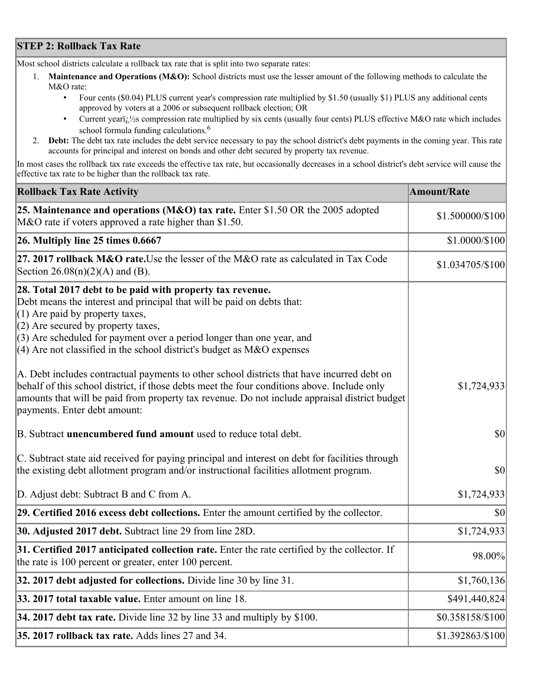## **STEP 2: Rollback Tax Rate**

Most school districts calculate a rollback tax rate that is split into two separate rates:

- 1. **Maintenance and Operations (M&O):** School districts must use the lesser amount of the following methods to calculate the M&O rate:
	- Four cents (\$0.04) PLUS current year's compression rate multiplied by \$1.50 (usually \$1) PLUS any additional cents approved by voters at a 2006 or subsequent rollback election; OR
	- Current year $i/\frac{1}{2}$ s compression rate multiplied by six cents (usually four cents) PLUS effective M&O rate which includes school formula funding calculations.<sup>6</sup>
- 2. **Debt:** The debt tax rate includes the debt service necessary to pay the school district's debt payments in the coming year. This rate accounts for principal and interest on bonds and other debt secured by property tax revenue.

In most cases the rollback tax rate exceeds the effective tax rate, but occasionally decreases in a school district's debt service will cause the effective tax rate to be higher than the rollback tax rate.

| <b>Rollback Tax Rate Activity</b>                                                                                                                                                                                                                                                                                                                                       | <b>Amount/Rate</b> |
|-------------------------------------------------------------------------------------------------------------------------------------------------------------------------------------------------------------------------------------------------------------------------------------------------------------------------------------------------------------------------|--------------------|
| 25. Maintenance and operations (M&O) tax rate. Enter \$1.50 OR the 2005 adopted<br>M&O rate if voters approved a rate higher than \$1.50.                                                                                                                                                                                                                               | \$1.500000/\$100   |
| $26.$ Multiply line 25 times $0.6667$                                                                                                                                                                                                                                                                                                                                   | \$1.0000/\$100     |
| 27. 2017 rollback M&O rate. Use the lesser of the M&O rate as calculated in Tax Code<br>Section $26.08(n)(2)(A)$ and (B).                                                                                                                                                                                                                                               | \$1.034705/\$100   |
| 28. Total 2017 debt to be paid with property tax revenue.<br>Debt means the interest and principal that will be paid on debts that:<br>$(1)$ Are paid by property taxes,<br>$(2)$ Are secured by property taxes,<br>$(3)$ Are scheduled for payment over a period longer than one year, and<br>$(4)$ Are not classified in the school district's budget as M&O expenses |                    |
| A. Debt includes contractual payments to other school districts that have incurred debt on<br>behalf of this school district, if those debts meet the four conditions above. Include only<br>amounts that will be paid from property tax revenue. Do not include appraisal district budget<br>payments. Enter debt amount:                                              | \$1,724,933        |
| B. Subtract unencumbered fund amount used to reduce total debt.                                                                                                                                                                                                                                                                                                         | $ 10\rangle$       |
| C. Subtract state aid received for paying principal and interest on debt for facilities through<br>the existing debt allotment program and/or instructional facilities allotment program.                                                                                                                                                                               | \$0                |
| D. Adjust debt: Subtract B and C from A.                                                                                                                                                                                                                                                                                                                                | \$1,724,933        |
| 29. Certified 2016 excess debt collections. Enter the amount certified by the collector.                                                                                                                                                                                                                                                                                | $ 10\rangle$       |
| 30. Adjusted 2017 debt. Subtract line 29 from line 28D.                                                                                                                                                                                                                                                                                                                 | \$1,724,933        |
| 31. Certified 2017 anticipated collection rate. Enter the rate certified by the collector. If<br>the rate is 100 percent or greater, enter 100 percent.                                                                                                                                                                                                                 | 98.00%             |
| 32. 2017 debt adjusted for collections. Divide line 30 by line 31.                                                                                                                                                                                                                                                                                                      | \$1,760,136        |
| 33. 2017 total taxable value. Enter amount on line 18.                                                                                                                                                                                                                                                                                                                  | \$491,440,824      |
| 34. 2017 debt tax rate. Divide line 32 by line 33 and multiply by \$100.                                                                                                                                                                                                                                                                                                | \$0.358158/\$100   |
| 35. 2017 rollback tax rate. Adds lines 27 and 34.                                                                                                                                                                                                                                                                                                                       | \$1.392863/\$100   |